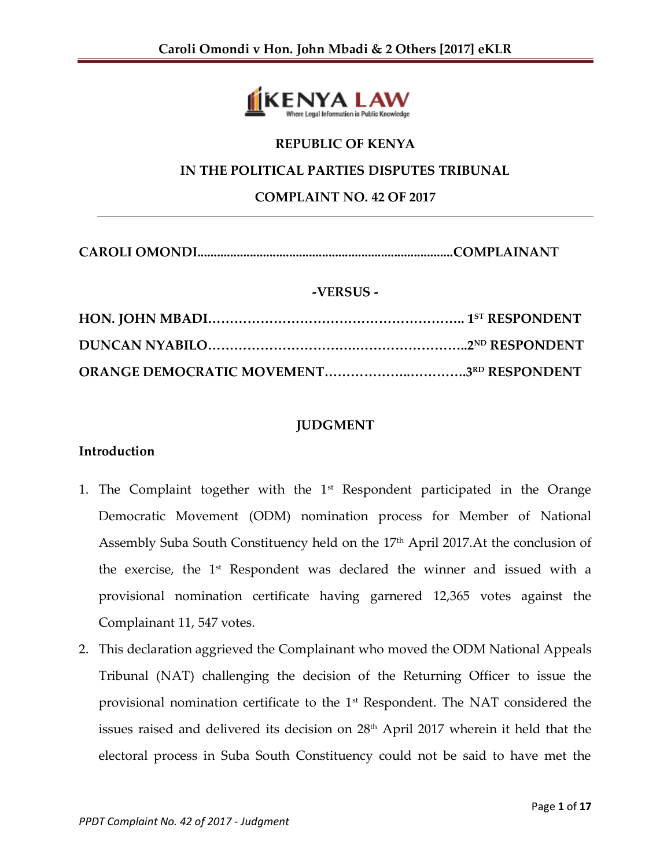

# **REPUBLIC OF KENYA IN THE POLITICAL PARTIES DISPUTES TRIBUNAL COMPLAINT NO. 42 OF 2017**

**CAROLI OMONDI..............................................................................COMPLAINANT**

## **-VERSUS -**

# **JUDGMENT**

#### **Introduction**

- 1. The Complaint together with the  $1<sup>st</sup>$  Respondent participated in the Orange Democratic Movement (ODM) nomination process for Member of National Assembly Suba South Constituency held on the 17<sup>th</sup> April 2017.At the conclusion of the exercise, the 1<sup>st</sup> Respondent was declared the winner and issued with a provisional nomination certificate having garnered 12,365 votes against the Complainant 11, 547 votes.
- 2. This declaration aggrieved the Complainant who moved the ODM National Appeals Tribunal (NAT) challenging the decision of the Returning Officer to issue the provisional nomination certificate to the 1st Respondent. The NAT considered the issues raised and delivered its decision on  $28<sup>th</sup>$  April 2017 wherein it held that the electoral process in Suba South Constituency could not be said to have met the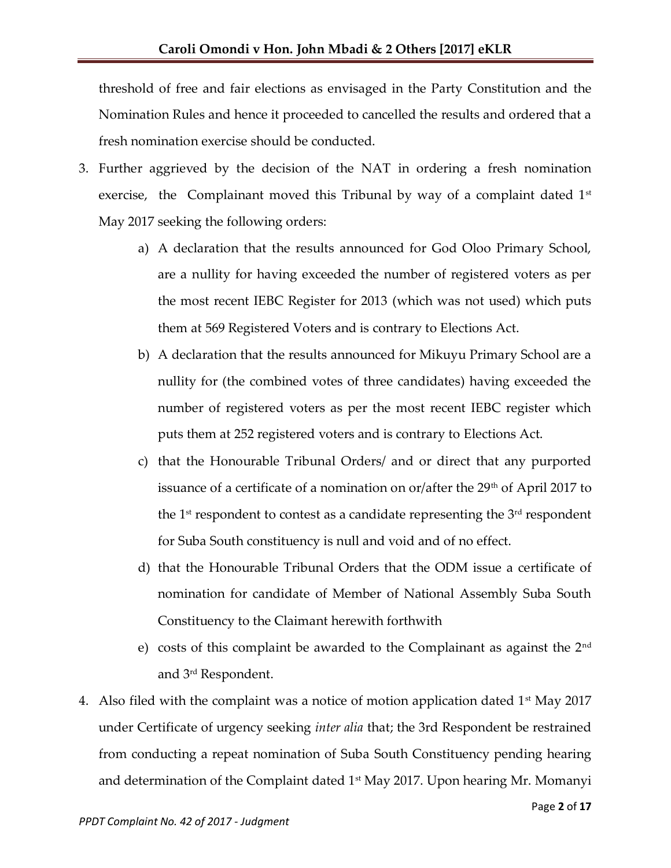threshold of free and fair elections as envisaged in the Party Constitution and the Nomination Rules and hence it proceeded to cancelled the results and ordered that a fresh nomination exercise should be conducted.

- 3. Further aggrieved by the decision of the NAT in ordering a fresh nomination exercise, the Complainant moved this Tribunal by way of a complaint dated 1<sup>st</sup> May 2017 seeking the following orders:
	- a) A declaration that the results announced for God Oloo Primary School, are a nullity for having exceeded the number of registered voters as per the most recent IEBC Register for 2013 (which was not used) which puts them at 569 Registered Voters and is contrary to Elections Act.
	- b) A declaration that the results announced for Mikuyu Primary School are a nullity for (the combined votes of three candidates) having exceeded the number of registered voters as per the most recent IEBC register which puts them at 252 registered voters and is contrary to Elections Act.
	- c) that the Honourable Tribunal Orders/ and or direct that any purported issuance of a certificate of a nomination on or/after the 29<sup>th</sup> of April 2017 to the  $1<sup>st</sup>$  respondent to contest as a candidate representing the  $3<sup>rd</sup>$  respondent for Suba South constituency is null and void and of no effect.
	- d) that the Honourable Tribunal Orders that the ODM issue a certificate of nomination for candidate of Member of National Assembly Suba South Constituency to the Claimant herewith forthwith
	- e) costs of this complaint be awarded to the Complainant as against the  $2<sup>nd</sup>$ and 3rd Respondent.
- 4. Also filed with the complaint was a notice of motion application dated  $1<sup>st</sup>$  May 2017 under Certificate of urgency seeking *inter alia* that; the 3rd Respondent be restrained from conducting a repeat nomination of Suba South Constituency pending hearing and determination of the Complaint dated  $1<sup>st</sup>$  May 2017. Upon hearing Mr. Momanyi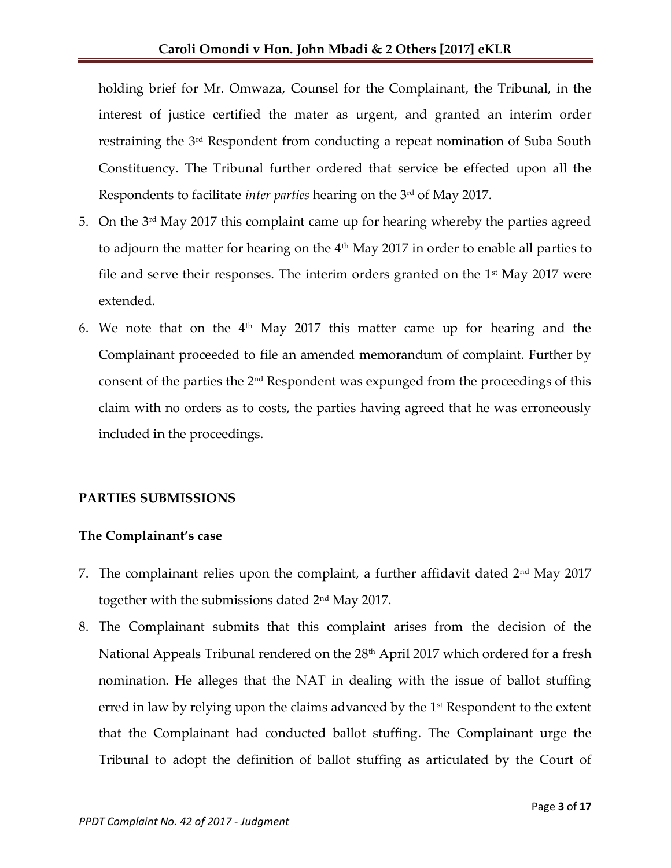holding brief for Mr. Omwaza, Counsel for the Complainant, the Tribunal, in the interest of justice certified the mater as urgent, and granted an interim order restraining the 3rd Respondent from conducting a repeat nomination of Suba South Constituency. The Tribunal further ordered that service be effected upon all the Respondents to facilitate *inter parties* hearing on the 3rd of May 2017.

- 5. On the 3rd May 2017 this complaint came up for hearing whereby the parties agreed to adjourn the matter for hearing on the  $4<sup>th</sup>$  May 2017 in order to enable all parties to file and serve their responses. The interim orders granted on the  $1<sup>st</sup>$  May 2017 were extended.
- 6. We note that on the  $4<sup>th</sup>$  May 2017 this matter came up for hearing and the Complainant proceeded to file an amended memorandum of complaint. Further by consent of the parties the 2nd Respondent was expunged from the proceedings of this claim with no orders as to costs, the parties having agreed that he was erroneously included in the proceedings.

# **PARTIES SUBMISSIONS**

# **The Complainant's case**

- 7. The complainant relies upon the complaint, a further affidavit dated  $2<sup>nd</sup>$  May 2017 together with the submissions dated 2nd May 2017.
- 8. The Complainant submits that this complaint arises from the decision of the National Appeals Tribunal rendered on the 28<sup>th</sup> April 2017 which ordered for a fresh nomination. He alleges that the NAT in dealing with the issue of ballot stuffing erred in law by relying upon the claims advanced by the 1<sup>st</sup> Respondent to the extent that the Complainant had conducted ballot stuffing. The Complainant urge the Tribunal to adopt the definition of ballot stuffing as articulated by the Court of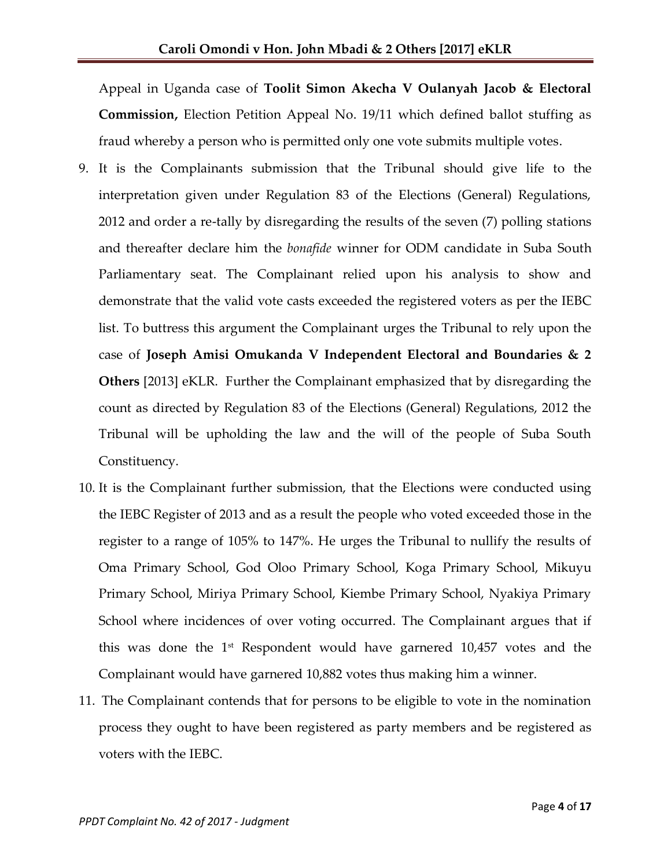Appeal in Uganda case of **Toolit Simon Akecha V Oulanyah Jacob & Electoral Commission,** Election Petition Appeal No. 19/11 which defined ballot stuffing as fraud whereby a person who is permitted only one vote submits multiple votes.

- 9. It is the Complainants submission that the Tribunal should give life to the interpretation given under Regulation 83 of the Elections (General) Regulations, 2012 and order a re-tally by disregarding the results of the seven (7) polling stations and thereafter declare him the *bonafide* winner for ODM candidate in Suba South Parliamentary seat. The Complainant relied upon his analysis to show and demonstrate that the valid vote casts exceeded the registered voters as per the IEBC list. To buttress this argument the Complainant urges the Tribunal to rely upon the case of **Joseph Amisi Omukanda V Independent Electoral and Boundaries & 2 Others** [2013] eKLR. Further the Complainant emphasized that by disregarding the count as directed by Regulation 83 of the Elections (General) Regulations, 2012 the Tribunal will be upholding the law and the will of the people of Suba South Constituency.
- 10. It is the Complainant further submission, that the Elections were conducted using the IEBC Register of 2013 and as a result the people who voted exceeded those in the register to a range of 105% to 147%. He urges the Tribunal to nullify the results of Oma Primary School, God Oloo Primary School, Koga Primary School, Mikuyu Primary School, Miriya Primary School, Kiembe Primary School, Nyakiya Primary School where incidences of over voting occurred. The Complainant argues that if this was done the  $1<sup>st</sup>$  Respondent would have garnered 10,457 votes and the Complainant would have garnered 10,882 votes thus making him a winner.
- 11. The Complainant contends that for persons to be eligible to vote in the nomination process they ought to have been registered as party members and be registered as voters with the IEBC.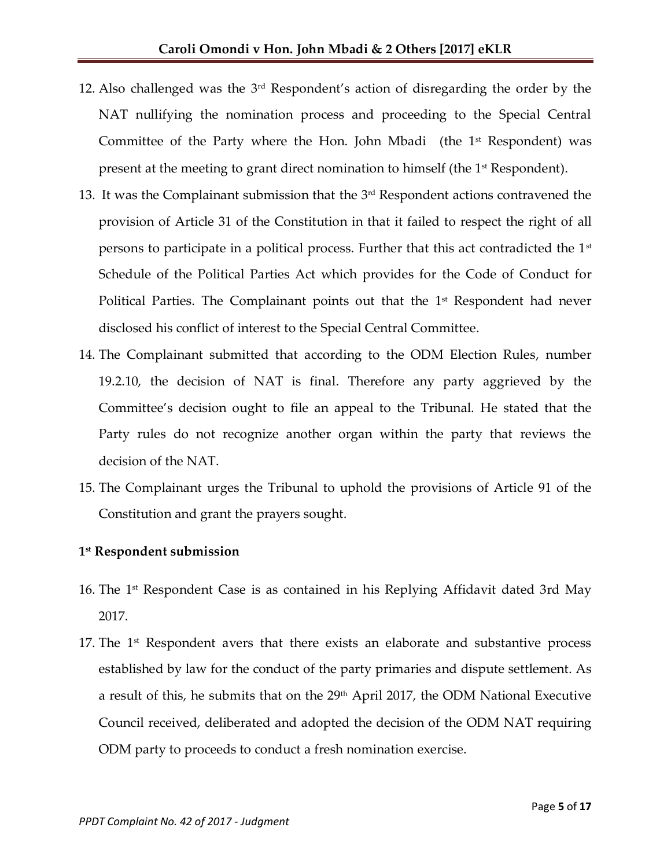- 12. Also challenged was the 3rd Respondent's action of disregarding the order by the NAT nullifying the nomination process and proceeding to the Special Central Committee of the Party where the Hon. John Mbadi (the  $1<sup>st</sup>$  Respondent) was present at the meeting to grant direct nomination to himself (the 1<sup>st</sup> Respondent).
- 13. It was the Complainant submission that the  $3<sup>rd</sup>$  Respondent actions contravened the provision of Article 31 of the Constitution in that it failed to respect the right of all persons to participate in a political process. Further that this act contradicted the  $1<sup>st</sup>$ Schedule of the Political Parties Act which provides for the Code of Conduct for Political Parties. The Complainant points out that the 1<sup>st</sup> Respondent had never disclosed his conflict of interest to the Special Central Committee.
- 14. The Complainant submitted that according to the ODM Election Rules, number 19.2.10, the decision of NAT is final. Therefore any party aggrieved by the Committee's decision ought to file an appeal to the Tribunal. He stated that the Party rules do not recognize another organ within the party that reviews the decision of the NAT.
- 15. The Complainant urges the Tribunal to uphold the provisions of Article 91 of the Constitution and grant the prayers sought.

# **1 st Respondent submission**

- 16. The 1<sup>st</sup> Respondent Case is as contained in his Replying Affidavit dated 3rd May 2017.
- 17. The  $1<sup>st</sup>$  Respondent avers that there exists an elaborate and substantive process established by law for the conduct of the party primaries and dispute settlement. As a result of this, he submits that on the 29<sup>th</sup> April 2017, the ODM National Executive Council received, deliberated and adopted the decision of the ODM NAT requiring ODM party to proceeds to conduct a fresh nomination exercise.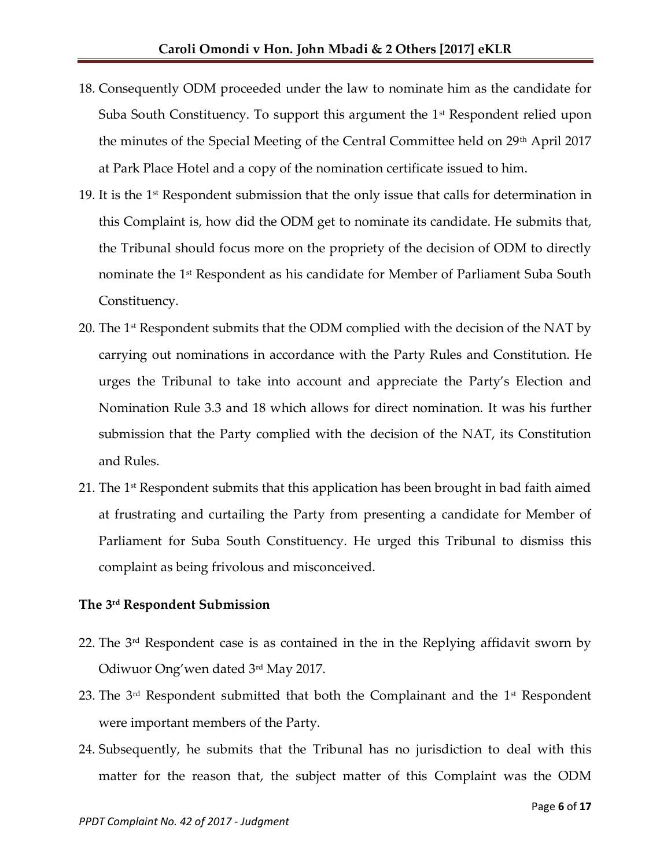- 18. Consequently ODM proceeded under the law to nominate him as the candidate for Suba South Constituency. To support this argument the  $1<sup>st</sup>$  Respondent relied upon the minutes of the Special Meeting of the Central Committee held on 29th April 2017 at Park Place Hotel and a copy of the nomination certificate issued to him.
- 19. It is the  $1<sup>st</sup>$  Respondent submission that the only issue that calls for determination in this Complaint is, how did the ODM get to nominate its candidate. He submits that, the Tribunal should focus more on the propriety of the decision of ODM to directly nominate the 1<sup>st</sup> Respondent as his candidate for Member of Parliament Suba South Constituency.
- 20. The 1 $\mathrm{^{st}}$  Respondent submits that the ODM complied with the decision of the NAT by carrying out nominations in accordance with the Party Rules and Constitution. He urges the Tribunal to take into account and appreciate the Party's Election and Nomination Rule 3.3 and 18 which allows for direct nomination. It was his further submission that the Party complied with the decision of the NAT, its Constitution and Rules.
- 21. The  $1<sup>st</sup>$  Respondent submits that this application has been brought in bad faith aimed at frustrating and curtailing the Party from presenting a candidate for Member of Parliament for Suba South Constituency. He urged this Tribunal to dismiss this complaint as being frivolous and misconceived.

## **The 3 rd Respondent Submission**

- 22. The 3 rd Respondent case is as contained in the in the Replying affidavit sworn by Odiwuor Ong'wen dated 3rd May 2017.
- 23. The  $3<sup>rd</sup>$  Respondent submitted that both the Complainant and the  $1<sup>st</sup>$  Respondent were important members of the Party.
- 24. Subsequently, he submits that the Tribunal has no jurisdiction to deal with this matter for the reason that, the subject matter of this Complaint was the ODM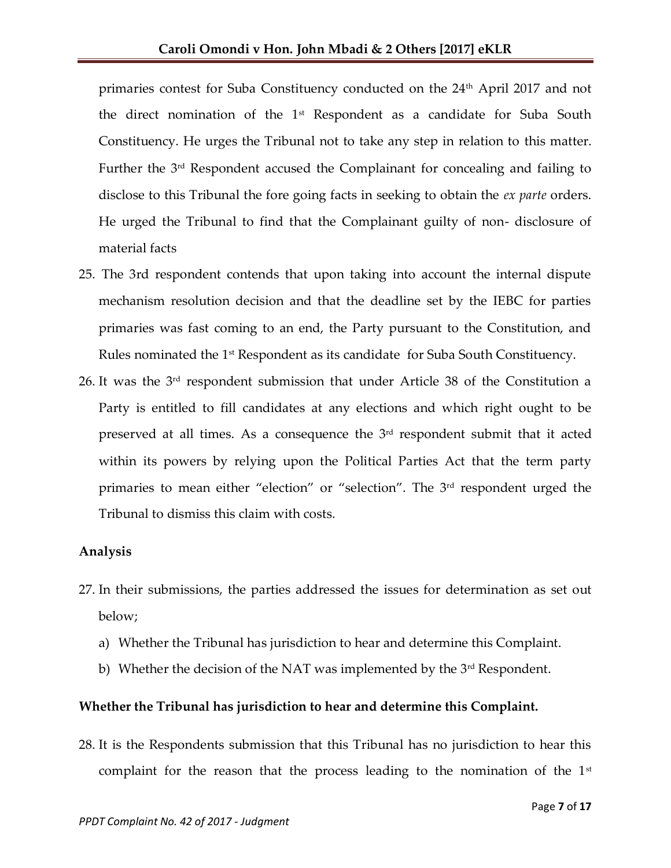primaries contest for Suba Constituency conducted on the 24<sup>th</sup> April 2017 and not the direct nomination of the  $1<sup>st</sup>$  Respondent as a candidate for Suba South Constituency. He urges the Tribunal not to take any step in relation to this matter. Further the 3rd Respondent accused the Complainant for concealing and failing to disclose to this Tribunal the fore going facts in seeking to obtain the *ex parte* orders. He urged the Tribunal to find that the Complainant guilty of non- disclosure of material facts

- 25. The 3rd respondent contends that upon taking into account the internal dispute mechanism resolution decision and that the deadline set by the IEBC for parties primaries was fast coming to an end, the Party pursuant to the Constitution, and Rules nominated the 1<sup>st</sup> Respondent as its candidate for Suba South Constituency.
- 26. It was the 3rd respondent submission that under Article 38 of the Constitution a Party is entitled to fill candidates at any elections and which right ought to be preserved at all times. As a consequence the  $3<sup>rd</sup>$  respondent submit that it acted within its powers by relying upon the Political Parties Act that the term party primaries to mean either "election" or "selection". The 3<sup>rd</sup> respondent urged the Tribunal to dismiss this claim with costs.

#### **Analysis**

- 27. In their submissions, the parties addressed the issues for determination as set out below;
	- a) Whether the Tribunal has jurisdiction to hear and determine this Complaint.
	- b) Whether the decision of the NAT was implemented by the  $3<sup>rd</sup>$  Respondent.

#### **Whether the Tribunal has jurisdiction to hear and determine this Complaint.**

28. It is the Respondents submission that this Tribunal has no jurisdiction to hear this complaint for the reason that the process leading to the nomination of the  $1<sup>st</sup>$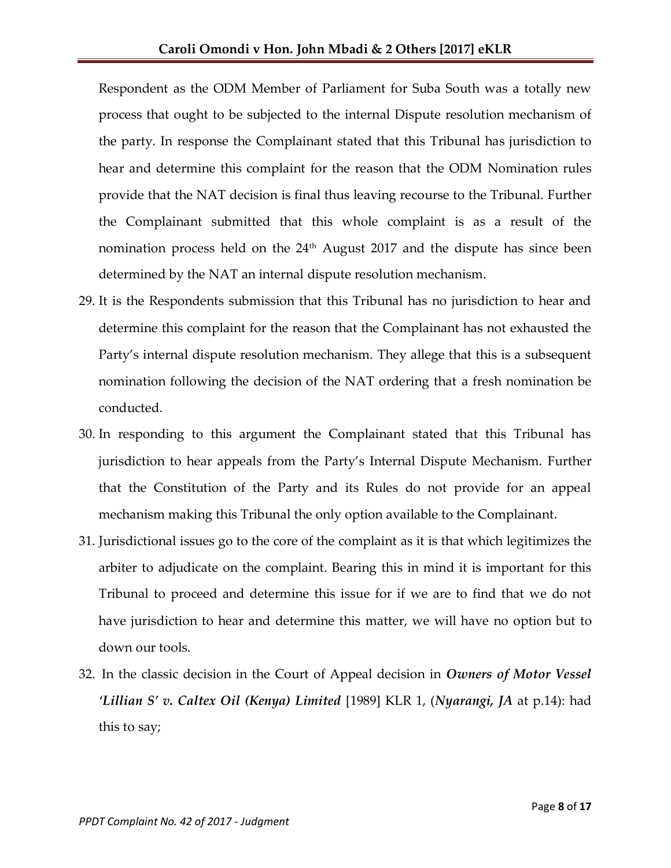Respondent as the ODM Member of Parliament for Suba South was a totally new process that ought to be subjected to the internal Dispute resolution mechanism of the party. In response the Complainant stated that this Tribunal has jurisdiction to hear and determine this complaint for the reason that the ODM Nomination rules provide that the NAT decision is final thus leaving recourse to the Tribunal. Further the Complainant submitted that this whole complaint is as a result of the nomination process held on the  $24<sup>th</sup>$  August 2017 and the dispute has since been determined by the NAT an internal dispute resolution mechanism.

- 29. It is the Respondents submission that this Tribunal has no jurisdiction to hear and determine this complaint for the reason that the Complainant has not exhausted the Party's internal dispute resolution mechanism. They allege that this is a subsequent nomination following the decision of the NAT ordering that a fresh nomination be conducted.
- 30. In responding to this argument the Complainant stated that this Tribunal has jurisdiction to hear appeals from the Party's Internal Dispute Mechanism. Further that the Constitution of the Party and its Rules do not provide for an appeal mechanism making this Tribunal the only option available to the Complainant.
- 31. Jurisdictional issues go to the core of the complaint as it is that which legitimizes the arbiter to adjudicate on the complaint. Bearing this in mind it is important for this Tribunal to proceed and determine this issue for if we are to find that we do not have jurisdiction to hear and determine this matter, we will have no option but to down our tools.
- 32. In the classic decision in the Court of Appeal decision in *Owners of Motor Vessel 'Lillian S' v. Caltex Oil (Kenya) Limited* [1989] KLR 1, (*Nyarangi, JA* at p.14): had this to say;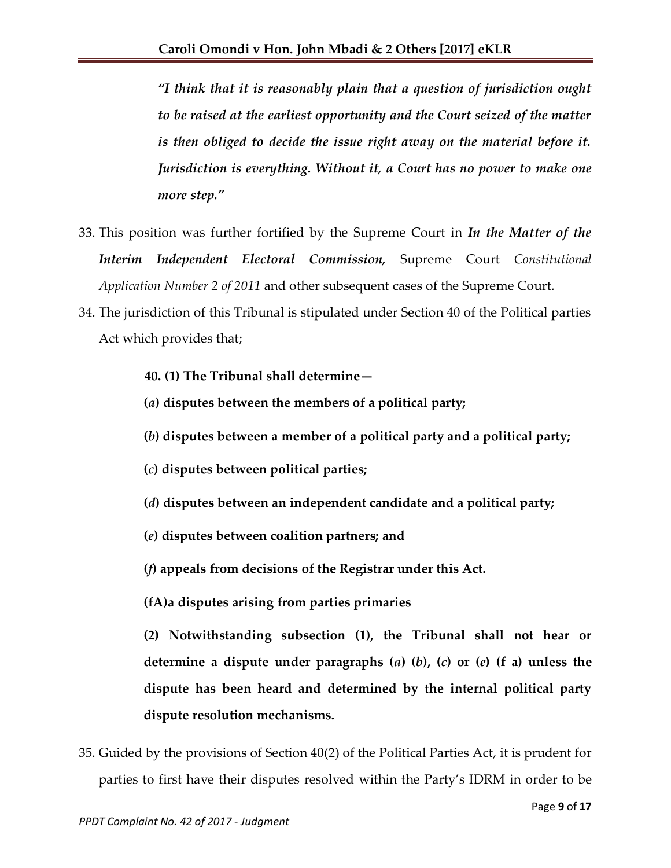*'I think that it is reasonably plain that a question of jurisdiction ought to be raised at the earliest opportunity and the Court seized of the matter is then obliged to decide the issue right away on the material before it. Jurisdiction is everything. Without it, a Court has no power to make one more step.'*

- 33. This position was further fortified by the Supreme Court in *In the Matter of the Interim Independent Electoral Commission,* Supreme Court *Constitutional Application Number 2 of 2011* and other subsequent cases of the Supreme Court*.*
- 34. The jurisdiction of this Tribunal is stipulated under Section 40 of the Political parties Act which provides that;
	- **40. (1) The Tribunal shall determine—**
	- **(***a***) disputes between the members of a political party;**
	- **(***b***) disputes between a member of a political party and a political party;**
	- **(***c***) disputes between political parties;**
	- **(***d***) disputes between an independent candidate and a political party;**
	- **(***e***) disputes between coalition partners; and**
	- **(***f***) appeals from decisions of the Registrar under this Act.**
	- **(fA)a disputes arising from parties primaries**
	- **(2) Notwithstanding subsection (1), the Tribunal shall not hear or determine a dispute under paragraphs (***a***) (***b***), (***c***) or (***e***) (f a) unless the dispute has been heard and determined by the internal political party dispute resolution mechanisms.**
- 35. Guided by the provisions of Section 40(2) of the Political Parties Act, it is prudent for parties to first have their disputes resolved within the Party's IDRM in order to be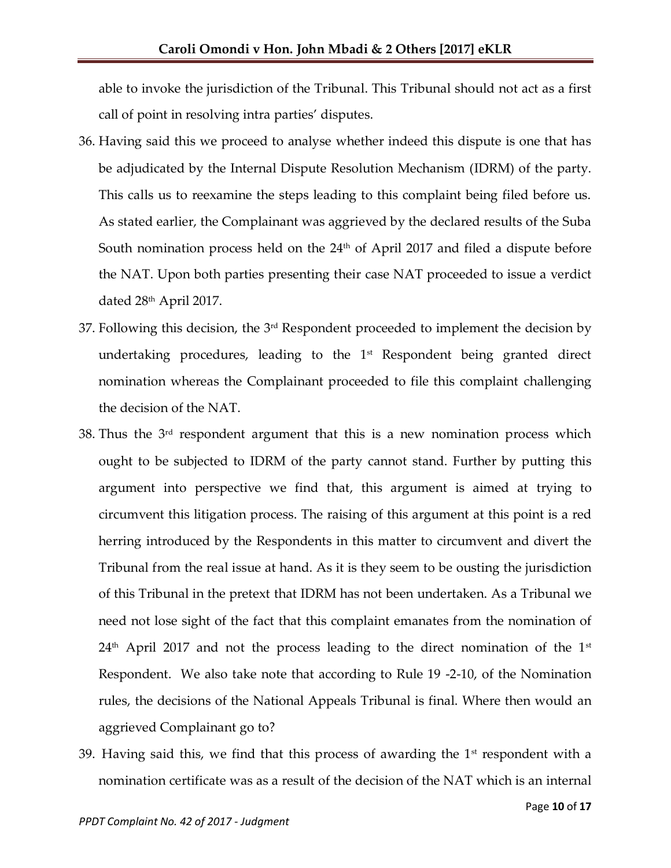able to invoke the jurisdiction of the Tribunal. This Tribunal should not act as a first call of point in resolving intra parties' disputes.

- 36. Having said this we proceed to analyse whether indeed this dispute is one that has be adjudicated by the Internal Dispute Resolution Mechanism (IDRM) of the party. This calls us to reexamine the steps leading to this complaint being filed before us. As stated earlier, the Complainant was aggrieved by the declared results of the Suba South nomination process held on the  $24<sup>th</sup>$  of April 2017 and filed a dispute before the NAT. Upon both parties presenting their case NAT proceeded to issue a verdict dated 28<sup>th</sup> April 2017.
- 37. Following this decision, the 3rd Respondent proceeded to implement the decision by undertaking procedures, leading to the 1<sup>st</sup> Respondent being granted direct nomination whereas the Complainant proceeded to file this complaint challenging the decision of the NAT.
- 38. Thus the  $3<sup>rd</sup>$  respondent argument that this is a new nomination process which ought to be subjected to IDRM of the party cannot stand. Further by putting this argument into perspective we find that, this argument is aimed at trying to circumvent this litigation process. The raising of this argument at this point is a red herring introduced by the Respondents in this matter to circumvent and divert the Tribunal from the real issue at hand. As it is they seem to be ousting the jurisdiction of this Tribunal in the pretext that IDRM has not been undertaken. As a Tribunal we need not lose sight of the fact that this complaint emanates from the nomination of  $24<sup>th</sup>$  April 2017 and not the process leading to the direct nomination of the 1<sup>st</sup> Respondent. We also take note that according to Rule 19 -2-10, of the Nomination rules, the decisions of the National Appeals Tribunal is final. Where then would an aggrieved Complainant go to?
- 39. Having said this, we find that this process of awarding the  $1<sup>st</sup>$  respondent with a nomination certificate was as a result of the decision of the NAT which is an internal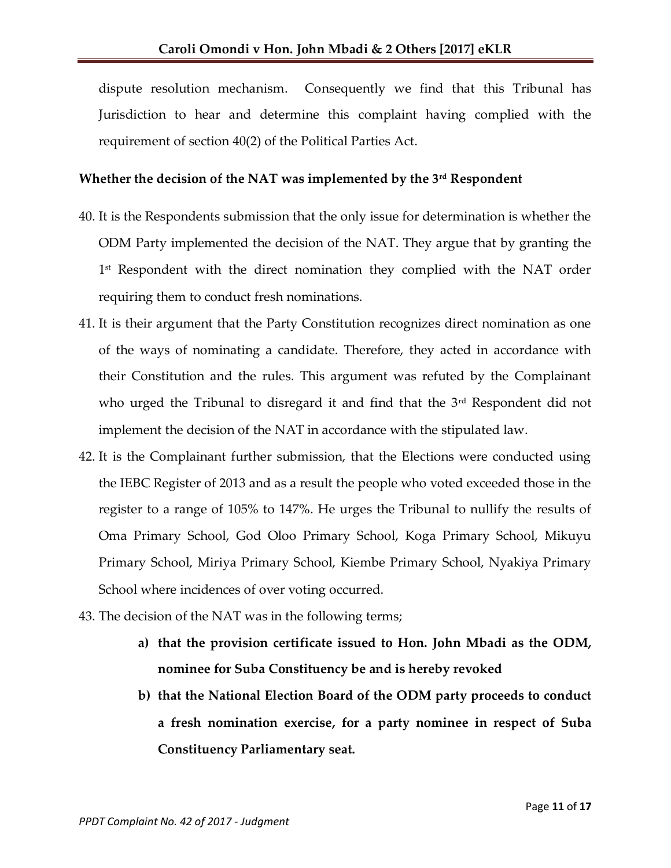dispute resolution mechanism. Consequently we find that this Tribunal has Jurisdiction to hear and determine this complaint having complied with the requirement of section 40(2) of the Political Parties Act.

#### **Whether the decision of the NAT was implemented by the 3rd Respondent**

- 40. It is the Respondents submission that the only issue for determination is whether the ODM Party implemented the decision of the NAT. They argue that by granting the 1 st Respondent with the direct nomination they complied with the NAT order requiring them to conduct fresh nominations.
- 41. It is their argument that the Party Constitution recognizes direct nomination as one of the ways of nominating a candidate. Therefore, they acted in accordance with their Constitution and the rules. This argument was refuted by the Complainant who urged the Tribunal to disregard it and find that the 3<sup>rd</sup> Respondent did not implement the decision of the NAT in accordance with the stipulated law.
- 42. It is the Complainant further submission, that the Elections were conducted using the IEBC Register of 2013 and as a result the people who voted exceeded those in the register to a range of 105% to 147%. He urges the Tribunal to nullify the results of Oma Primary School, God Oloo Primary School, Koga Primary School, Mikuyu Primary School, Miriya Primary School, Kiembe Primary School, Nyakiya Primary School where incidences of over voting occurred.
- 43. The decision of the NAT was in the following terms;
	- **a) that the provision certificate issued to Hon. John Mbadi as the ODM, nominee for Suba Constituency be and is hereby revoked**
	- **b) that the National Election Board of the ODM party proceeds to conduct a fresh nomination exercise, for a party nominee in respect of Suba Constituency Parliamentary seat.**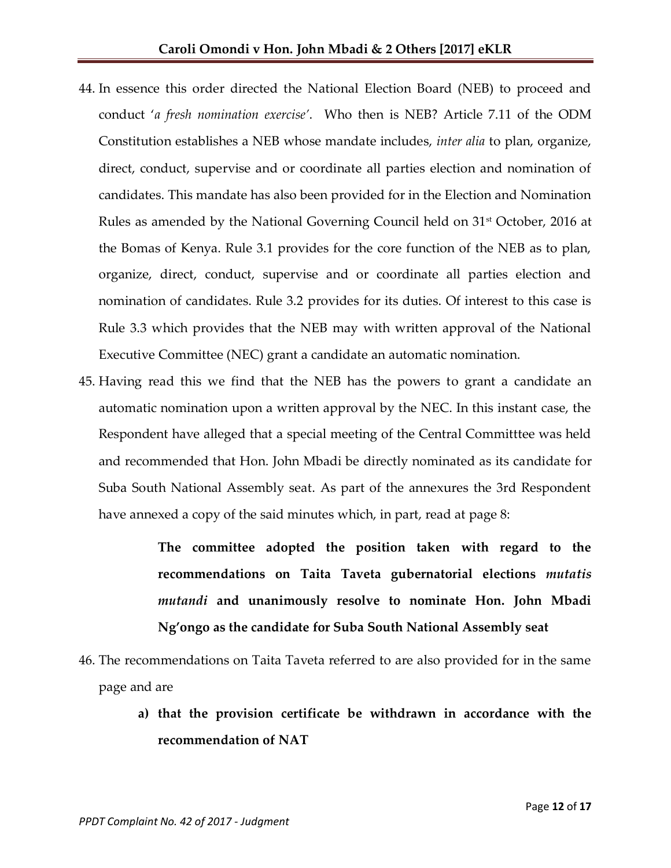- 44. In essence this order directed the National Election Board (NEB) to proceed and conduct '*a fresh nomination exercise'*. Who then is NEB? Article 7.11 of the ODM Constitution establishes a NEB whose mandate includes, *inter alia* to plan, organize, direct, conduct, supervise and or coordinate all parties election and nomination of candidates. This mandate has also been provided for in the Election and Nomination Rules as amended by the National Governing Council held on 31<sup>st</sup> October, 2016 at the Bomas of Kenya. Rule 3.1 provides for the core function of the NEB as to plan, organize, direct, conduct, supervise and or coordinate all parties election and nomination of candidates. Rule 3.2 provides for its duties. Of interest to this case is Rule 3.3 which provides that the NEB may with written approval of the National Executive Committee (NEC) grant a candidate an automatic nomination.
- 45. Having read this we find that the NEB has the powers to grant a candidate an automatic nomination upon a written approval by the NEC. In this instant case, the Respondent have alleged that a special meeting of the Central Committtee was held and recommended that Hon. John Mbadi be directly nominated as its candidate for Suba South National Assembly seat. As part of the annexures the 3rd Respondent have annexed a copy of the said minutes which, in part, read at page 8:

**The committee adopted the position taken with regard to the recommendations on Taita Taveta gubernatorial elections** *mutatis mutandi* **and unanimously resolve to nominate Hon. John Mbadi Ng'ongo as the candidate for Suba South National Assembly seat**

- 46. The recommendations on Taita Taveta referred to are also provided for in the same page and are
	- **a) that the provision certificate be withdrawn in accordance with the recommendation of NAT**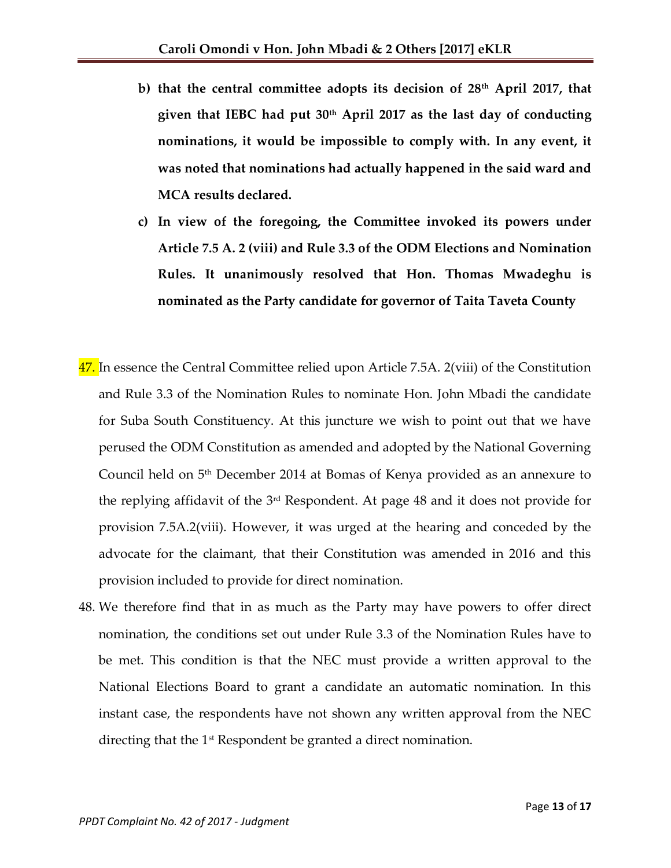- **b) that the central committee adopts its decision of 28th April 2017, that given that IEBC had put 30th April 2017 as the last day of conducting nominations, it would be impossible to comply with. In any event, it was noted that nominations had actually happened in the said ward and MCA results declared.**
- **c) In view of the foregoing, the Committee invoked its powers under Article 7.5 A. 2 (viii) and Rule 3.3 of the ODM Elections and Nomination Rules. It unanimously resolved that Hon. Thomas Mwadeghu is nominated as the Party candidate for governor of Taita Taveta County**
- 47. In essence the Central Committee relied upon Article 7.5A. 2(viii) of the Constitution and Rule 3.3 of the Nomination Rules to nominate Hon. John Mbadi the candidate for Suba South Constituency. At this juncture we wish to point out that we have perused the ODM Constitution as amended and adopted by the National Governing Council held on 5th December 2014 at Bomas of Kenya provided as an annexure to the replying affidavit of the 3rd Respondent. At page 48 and it does not provide for provision 7.5A.2(viii). However, it was urged at the hearing and conceded by the advocate for the claimant, that their Constitution was amended in 2016 and this provision included to provide for direct nomination.
- 48. We therefore find that in as much as the Party may have powers to offer direct nomination, the conditions set out under Rule 3.3 of the Nomination Rules have to be met. This condition is that the NEC must provide a written approval to the National Elections Board to grant a candidate an automatic nomination. In this instant case, the respondents have not shown any written approval from the NEC directing that the 1<sup>st</sup> Respondent be granted a direct nomination.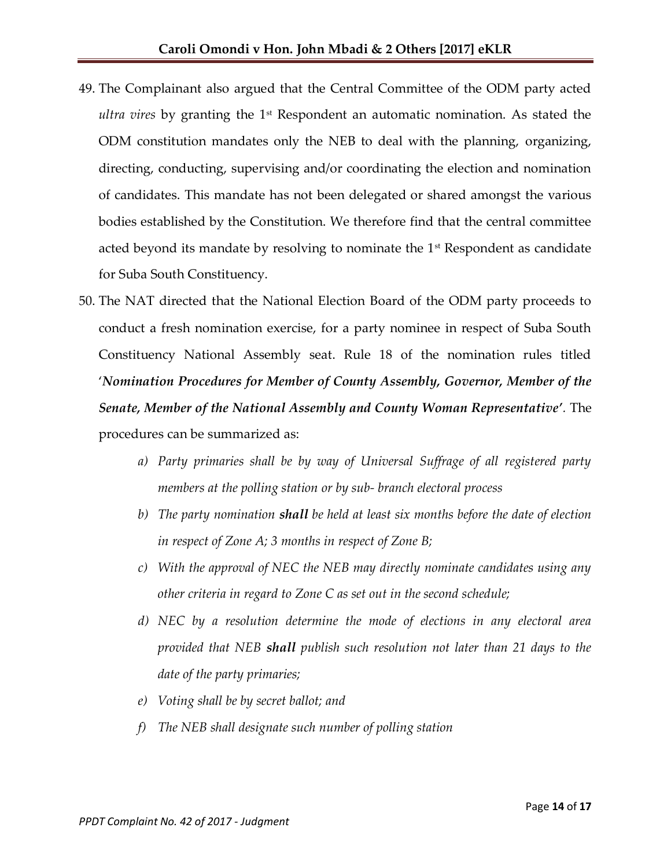- 49. The Complainant also argued that the Central Committee of the ODM party acted *ultra vires* by granting the 1st Respondent an automatic nomination. As stated the ODM constitution mandates only the NEB to deal with the planning, organizing, directing, conducting, supervising and/or coordinating the election and nomination of candidates. This mandate has not been delegated or shared amongst the various bodies established by the Constitution. We therefore find that the central committee acted beyond its mandate by resolving to nominate the  $1<sup>st</sup>$  Respondent as candidate for Suba South Constituency.
- 50. The NAT directed that the National Election Board of the ODM party proceeds to conduct a fresh nomination exercise, for a party nominee in respect of Suba South Constituency National Assembly seat. Rule 18 of the nomination rules titled '*Nomination Procedures for Member of County Assembly, Governor, Member of the Senate, Member of the National Assembly and County Woman Representative'.* The procedures can be summarized as:
	- *a) Party primaries shall be by way of Universal Suffrage of all registered party members at the polling station or by sub- branch electoral process*
	- *b) The party nomination shall be held at least six months before the date of election in respect of Zone A; 3 months in respect of Zone B;*
	- *c) With the approval of NEC the NEB may directly nominate candidates using any other criteria in regard to Zone C as set out in the second schedule;*
	- *d) NEC by a resolution determine the mode of elections in any electoral area provided that NEB shall publish such resolution not later than 21 days to the date of the party primaries;*
	- *e) Voting shall be by secret ballot; and*
	- *f) The NEB shall designate such number of polling station*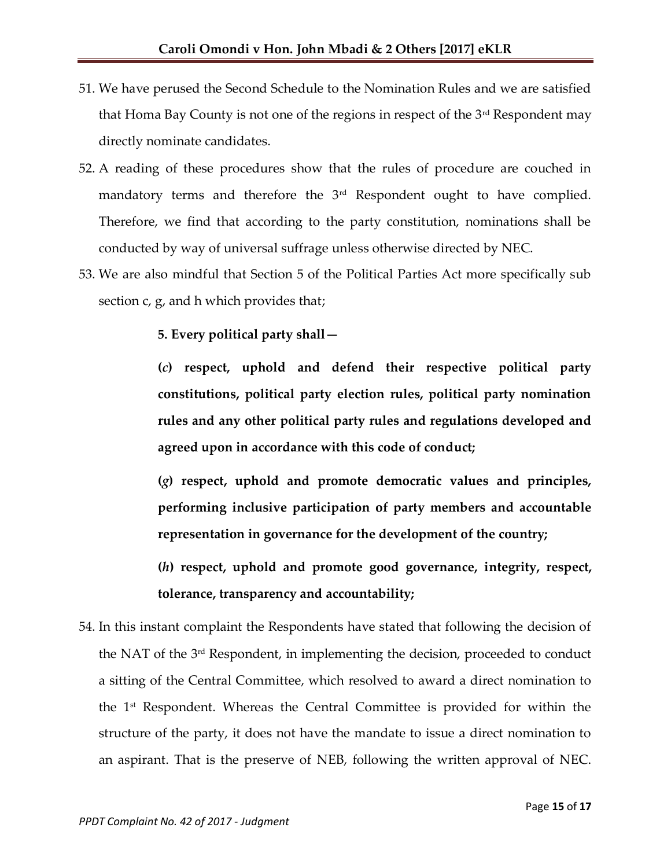- 51. We have perused the Second Schedule to the Nomination Rules and we are satisfied that Homa Bay County is not one of the regions in respect of the  $3<sup>rd</sup>$  Respondent may directly nominate candidates.
- 52. A reading of these procedures show that the rules of procedure are couched in mandatory terms and therefore the  $3<sup>rd</sup>$  Respondent ought to have complied. Therefore, we find that according to the party constitution, nominations shall be conducted by way of universal suffrage unless otherwise directed by NEC.
- 53. We are also mindful that Section 5 of the Political Parties Act more specifically sub section c, g, and h which provides that;

**5. Every political party shall—**

**(***c***) respect, uphold and defend their respective political party constitutions, political party election rules, political party nomination rules and any other political party rules and regulations developed and agreed upon in accordance with this code of conduct;** 

**(***g***) respect, uphold and promote democratic values and principles, performing inclusive participation of party members and accountable representation in governance for the development of the country;** 

**(***h***) respect, uphold and promote good governance, integrity, respect, tolerance, transparency and accountability;**

54. In this instant complaint the Respondents have stated that following the decision of the NAT of the 3rd Respondent, in implementing the decision, proceeded to conduct a sitting of the Central Committee, which resolved to award a direct nomination to the 1st Respondent. Whereas the Central Committee is provided for within the structure of the party, it does not have the mandate to issue a direct nomination to an aspirant. That is the preserve of NEB, following the written approval of NEC.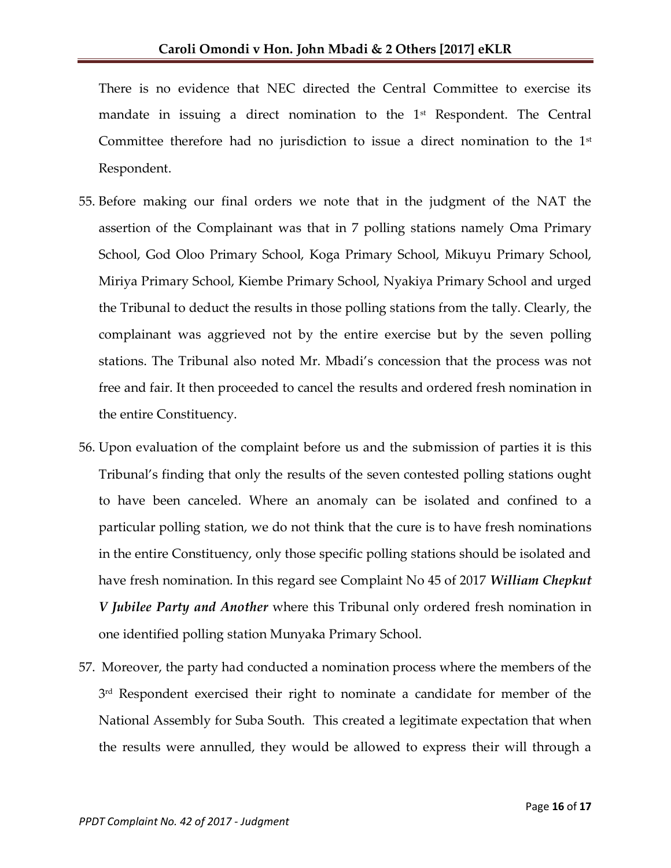There is no evidence that NEC directed the Central Committee to exercise its mandate in issuing a direct nomination to the  $1<sup>st</sup>$  Respondent. The Central Committee therefore had no jurisdiction to issue a direct nomination to the  $1<sup>st</sup>$ Respondent.

- 55. Before making our final orders we note that in the judgment of the NAT the assertion of the Complainant was that in 7 polling stations namely Oma Primary School, God Oloo Primary School, Koga Primary School, Mikuyu Primary School, Miriya Primary School, Kiembe Primary School, Nyakiya Primary School and urged the Tribunal to deduct the results in those polling stations from the tally. Clearly, the complainant was aggrieved not by the entire exercise but by the seven polling stations. The Tribunal also noted Mr. Mbadi's concession that the process was not free and fair. It then proceeded to cancel the results and ordered fresh nomination in the entire Constituency.
- 56. Upon evaluation of the complaint before us and the submission of parties it is this Tribunal's finding that only the results of the seven contested polling stations ought to have been canceled. Where an anomaly can be isolated and confined to a particular polling station, we do not think that the cure is to have fresh nominations in the entire Constituency, only those specific polling stations should be isolated and have fresh nomination. In this regard see Complaint No 45 of 2017 *William Chepkut V Jubilee Party and Another* where this Tribunal only ordered fresh nomination in one identified polling station Munyaka Primary School.
- 57. Moreover, the party had conducted a nomination process where the members of the 3 rd Respondent exercised their right to nominate a candidate for member of the National Assembly for Suba South. This created a legitimate expectation that when the results were annulled, they would be allowed to express their will through a